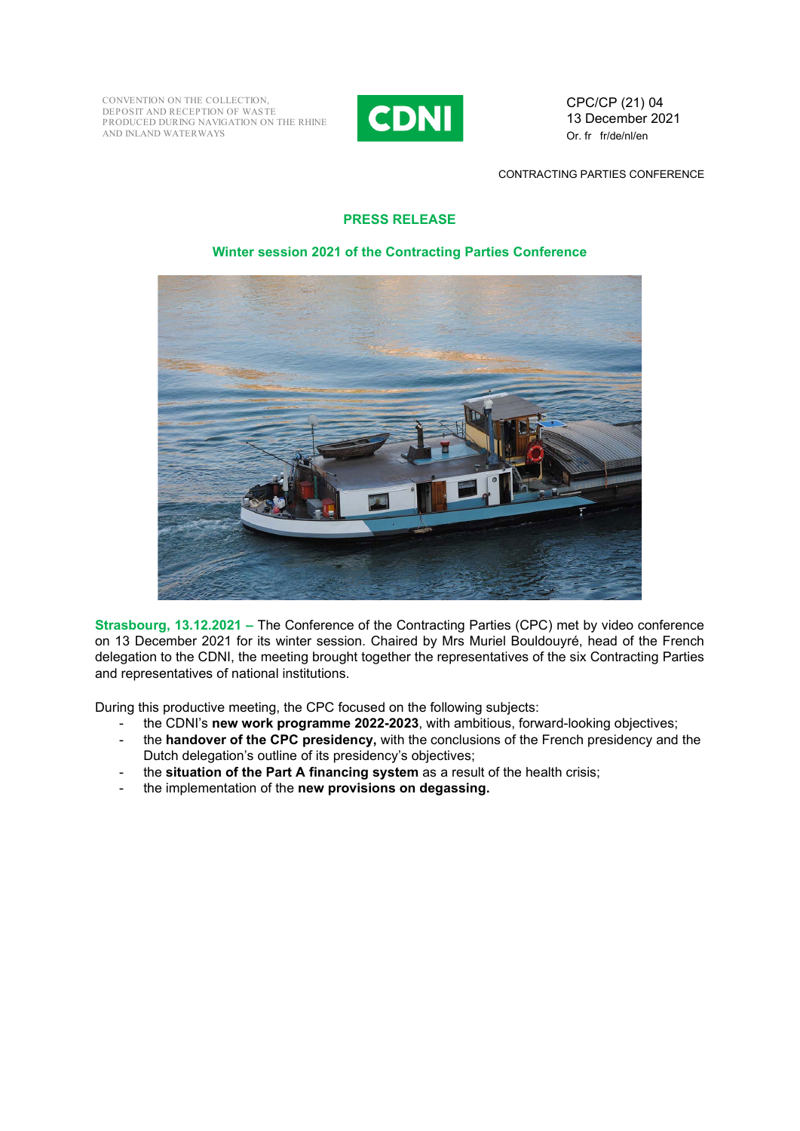CONVENTION ON THE COLLECTION, DEPOSIT AND RECEPTION OF WAS TE PRODUCED DURING NAVIGATION ON THE RHINE AND INLAND WATERWAYS



CPC/CP (21) 04 13 December 2021 Or. fr fr/de/nl/en

CONTRACTING PARTIES CONFERENCE

## **PRESS RELEASE**

## **Winter session 2021 of the Contracting Parties Conference**



**Strasbourg, 13.12.2021 –** The Conference of the Contracting Parties (CPC) met by video conference on 13 December 2021 for its winter session. Chaired by Mrs Muriel Bouldouyré, head of the French delegation to the CDNI, the meeting brought together the representatives of the six Contracting Parties and representatives of national institutions.

During this productive meeting, the CPC focused on the following subjects:

- the CDNI's new work programme 2022-2023, with ambitious, forward-looking objectives;
- the **handover of the CPC presidency,** with the conclusions of the French presidency and the Dutch delegation's outline of its presidency's objectives;
- the **situation of the Part A financing system** as a result of the health crisis;
- the implementation of the **new provisions on degassing.**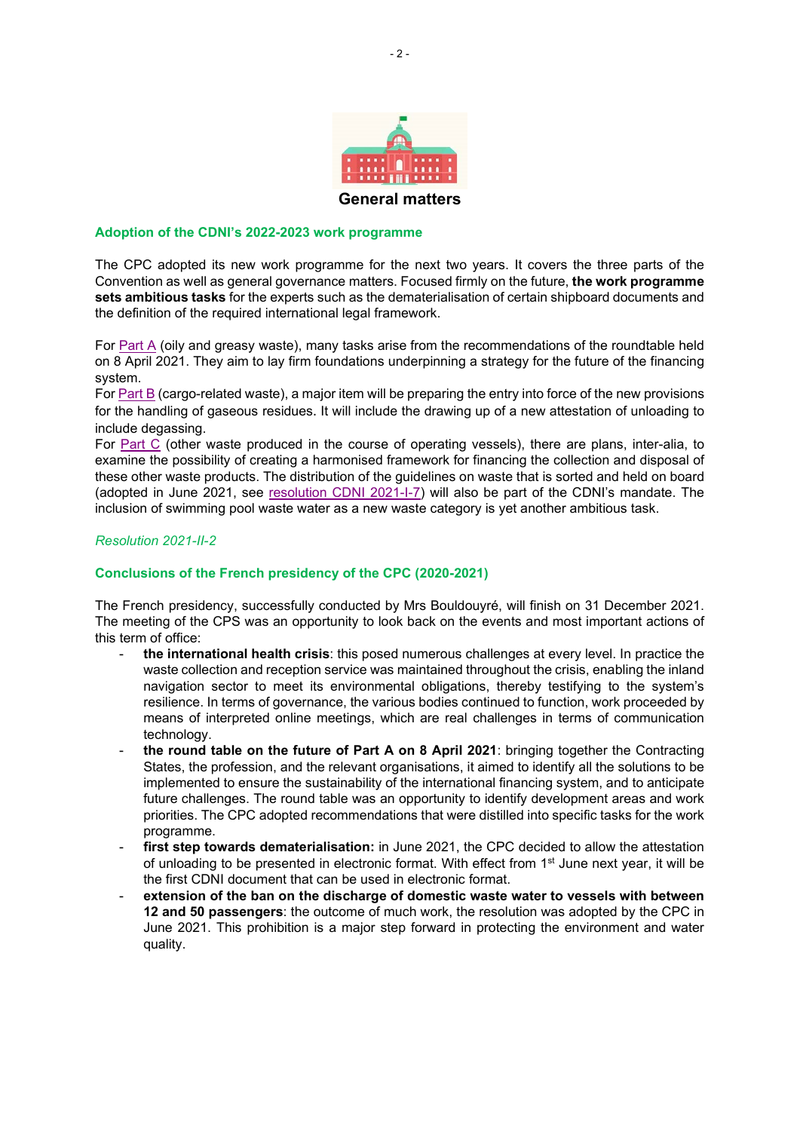

### **Adoption of the CDNI's 2022-2023 work programme**

The CPC adopted its new work programme for the next two years. It covers the three parts of the Convention as well as general governance matters. Focused firmly on the future, **the work programme sets ambitious tasks** for the experts such as the dematerialisation of certain shipboard documents and the definition of the required international legal framework.

For Part  $A$  (oily and greasy waste), many tasks arise from the recommendations of the roundtable held on 8 April 2021. They aim to lay firm foundations underpinning a strategy for the future of the financing system.

For [Part B](https://www.cdni-iwt.org/part-b-cargo-related-waste/?lang=en) (cargo-related waste), a major item will be preparing the entry into force of the new provisions for the handling of gaseous residues. It will include the drawing up of a new attestation of unloading to include degassing.

For [Part C](https://www.cdni-iwt.org/part-c-other-waste/?lang=en) (other waste produced in the course of operating vessels), there are plans, inter-alia, to examine the possibility of creating a harmonised framework for financing the collection and disposal of these other waste products. The distribution of the guidelines on waste that is sorted and held on board (adopted in June 2021, see [resolution CDNI 2021-I-7\)](https://www.cdni-iwt.org/resolutions/?lang=en) will also be part of the CDNI's mandate. The inclusion of swimming pool waste water as a new waste category is yet another ambitious task.

## *Resolution 2021-II-2*

### **Conclusions of the French presidency of the CPC (2020-2021)**

The French presidency, successfully conducted by Mrs Bouldouyré, will finish on 31 December 2021. The meeting of the CPS was an opportunity to look back on the events and most important actions of this term of office:

- **the international health crisis**: this posed numerous challenges at every level. In practice the waste collection and reception service was maintained throughout the crisis, enabling the inland navigation sector to meet its environmental obligations, thereby testifying to the system's resilience. In terms of governance, the various bodies continued to function, work proceeded by means of interpreted online meetings, which are real challenges in terms of communication technology.
- **the round table on the future of Part A on 8 April 2021**: bringing together the Contracting States, the profession, and the relevant organisations, it aimed to identify all the solutions to be implemented to ensure the sustainability of the international financing system, and to anticipate future challenges. The round table was an opportunity to identify development areas and work priorities. The CPC adopted recommendations that were distilled into specific tasks for the work programme.
- first step towards dematerialisation: in June 2021, the CPC decided to allow the attestation of unloading to be presented in electronic format. With effect from 1st June next year, it will be the first CDNI document that can be used in electronic format.
- extension of the ban on the discharge of domestic waste water to vessels with between **12 and 50 passengers**: the outcome of much work, the resolution was adopted by the CPC in June 2021. This prohibition is a major step forward in protecting the environment and water quality.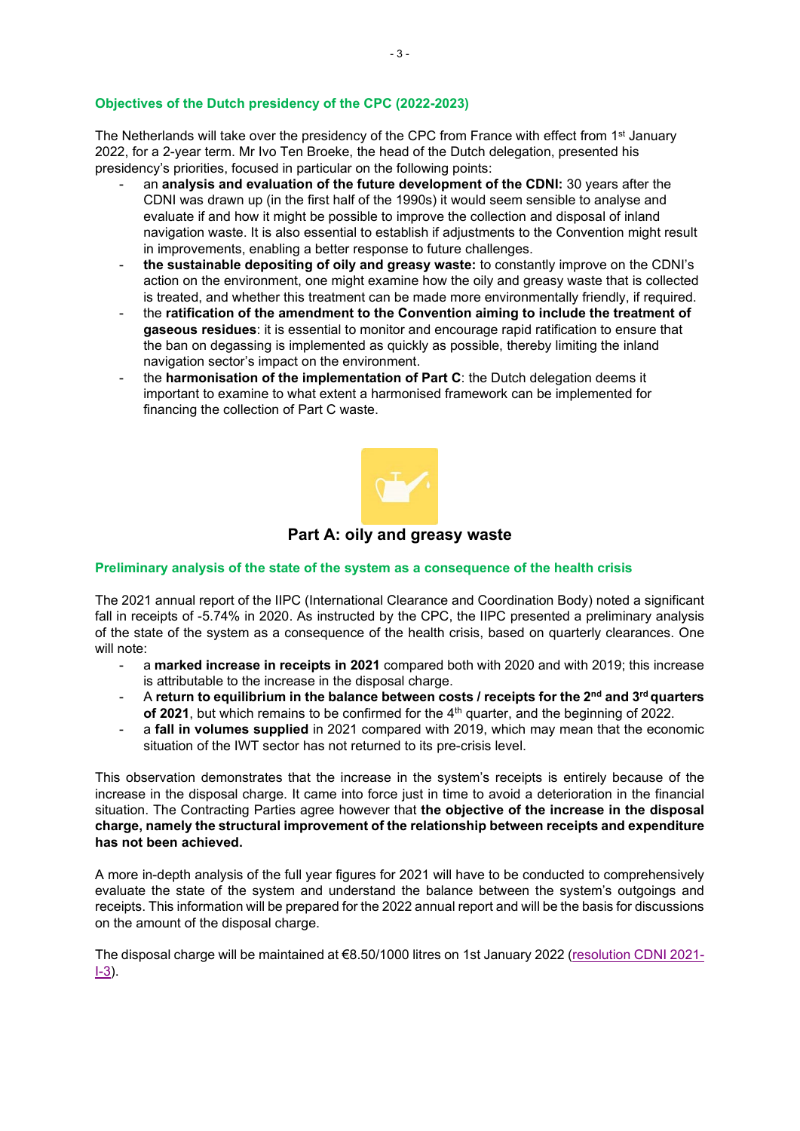## **Objectives of the Dutch presidency of the CPC (2022-2023)**

The Netherlands will take over the presidency of the CPC from France with effect from 1<sup>st</sup> January 2022, for a 2-year term. Mr Ivo Ten Broeke, the head of the Dutch delegation, presented his presidency's priorities, focused in particular on the following points:

- an **analysis and evaluation of the future development of the CDNI:** 30 years after the CDNI was drawn up (in the first half of the 1990s) it would seem sensible to analyse and evaluate if and how it might be possible to improve the collection and disposal of inland navigation waste. It is also essential to establish if adjustments to the Convention might result in improvements, enabling a better response to future challenges.
- **the sustainable depositing of oily and greasy waste:** to constantly improve on the CDNI's action on the environment, one might examine how the oily and greasy waste that is collected is treated, and whether this treatment can be made more environmentally friendly, if required.
- the **ratification of the amendment to the Convention aiming to include the treatment of gaseous residues**: it is essential to monitor and encourage rapid ratification to ensure that the ban on degassing is implemented as quickly as possible, thereby limiting the inland navigation sector's impact on the environment.
- the **harmonisation of the implementation of Part C**: the Dutch delegation deems it important to examine to what extent a harmonised framework can be implemented for financing the collection of Part C waste.



## **Part A: oily and greasy waste**

### **Preliminary analysis of the state of the system as a consequence of the health crisis**

The 2021 annual report of the IIPC (International Clearance and Coordination Body) noted a significant fall in receipts of -5.74% in 2020. As instructed by the CPC, the IIPC presented a preliminary analysis of the state of the system as a consequence of the health crisis, based on quarterly clearances. One will note:

- a **marked increase in receipts in 2021** compared both with 2020 and with 2019; this increase is attributable to the increase in the disposal charge.
- A **return to equilibrium in the balance between costs / receipts for the 2nd and 3rd quarters of 2021**, but which remains to be confirmed for the 4<sup>th</sup> quarter, and the beginning of 2022.
- a **fall in volumes supplied** in 2021 compared with 2019, which may mean that the economic situation of the IWT sector has not returned to its pre-crisis level.

This observation demonstrates that the increase in the system's receipts is entirely because of the increase in the disposal charge. It came into force just in time to avoid a deterioration in the financial situation. The Contracting Parties agree however that **the objective of the increase in the disposal charge, namely the structural improvement of the relationship between receipts and expenditure has not been achieved.**

A more in-depth analysis of the full year figures for 2021 will have to be conducted to comprehensively evaluate the state of the system and understand the balance between the system's outgoings and receipts. This information will be prepared for the 2022 annual report and will be the basis for discussions on the amount of the disposal charge.

The disposal charge will be maintained at €8.50/1000 litres on 1st January 2022 [\(resolution CDNI 2021-](https://www.cdni-iwt.org/resolutions/?lang=en) [I-3\)](https://www.cdni-iwt.org/resolutions/?lang=en).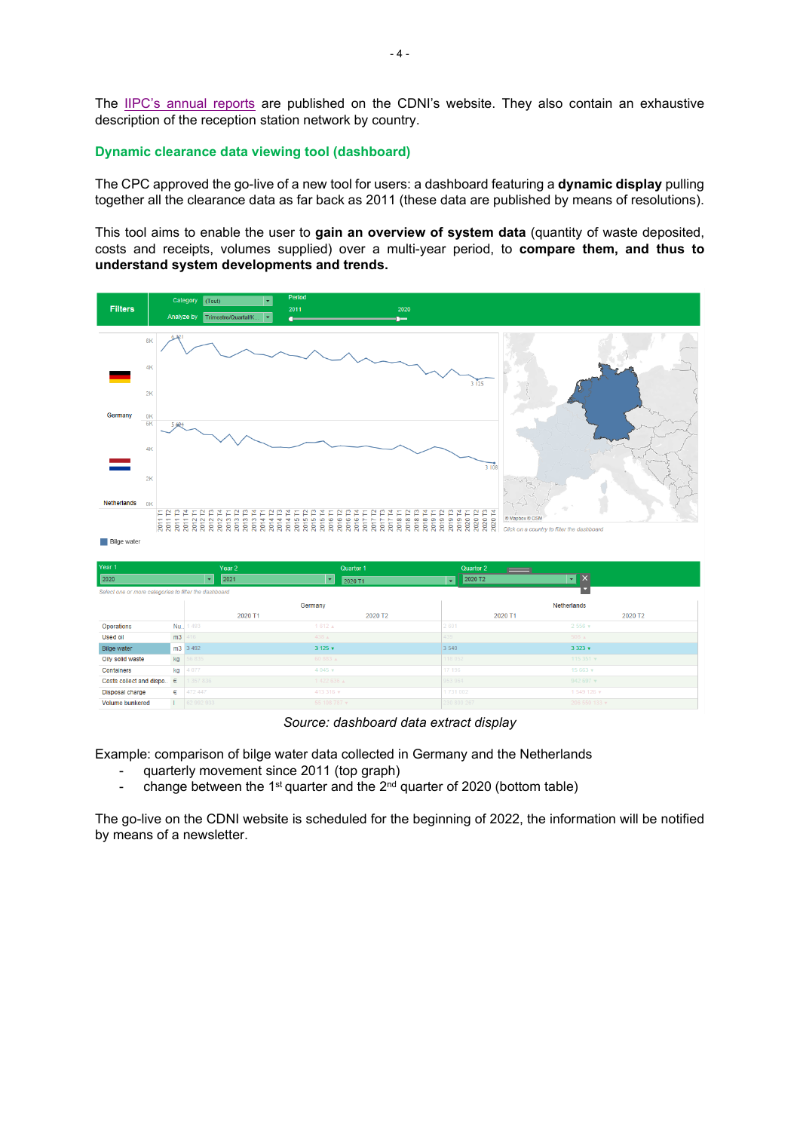The [IIPC's annual reports](https://www.cdni-iwt.org/annual-iipc-reports/?lang=en) are published on the CDNI's website. They also contain an exhaustive description of the reception station network by country.

#### **Dynamic clearance data viewing tool (dashboard)**

The CPC approved the go-live of a new tool for users: a dashboard featuring a **dynamic display** pulling together all the clearance data as far back as 2011 (these data are published by means of resolutions).

This tool aims to enable the user to **gain an overview of system data** (quantity of waste deposited, costs and receipts, volumes supplied) over a multi-year period, to **compare them, and thus to understand system developments and trends.**



*Source: dashboard data extract display*

Example: comparison of bilge water data collected in Germany and the Netherlands

- quarterly movement since 2011 (top graph)<br>- change between the 1<sup>st</sup> quarter and the 2<sup>nd</sup> c
- change between the 1<sup>st</sup> quarter and the  $2<sup>nd</sup>$  quarter of 2020 (bottom table)

The go-live on the CDNI website is scheduled for the beginning of 2022, the information will be notified by means of a newsletter.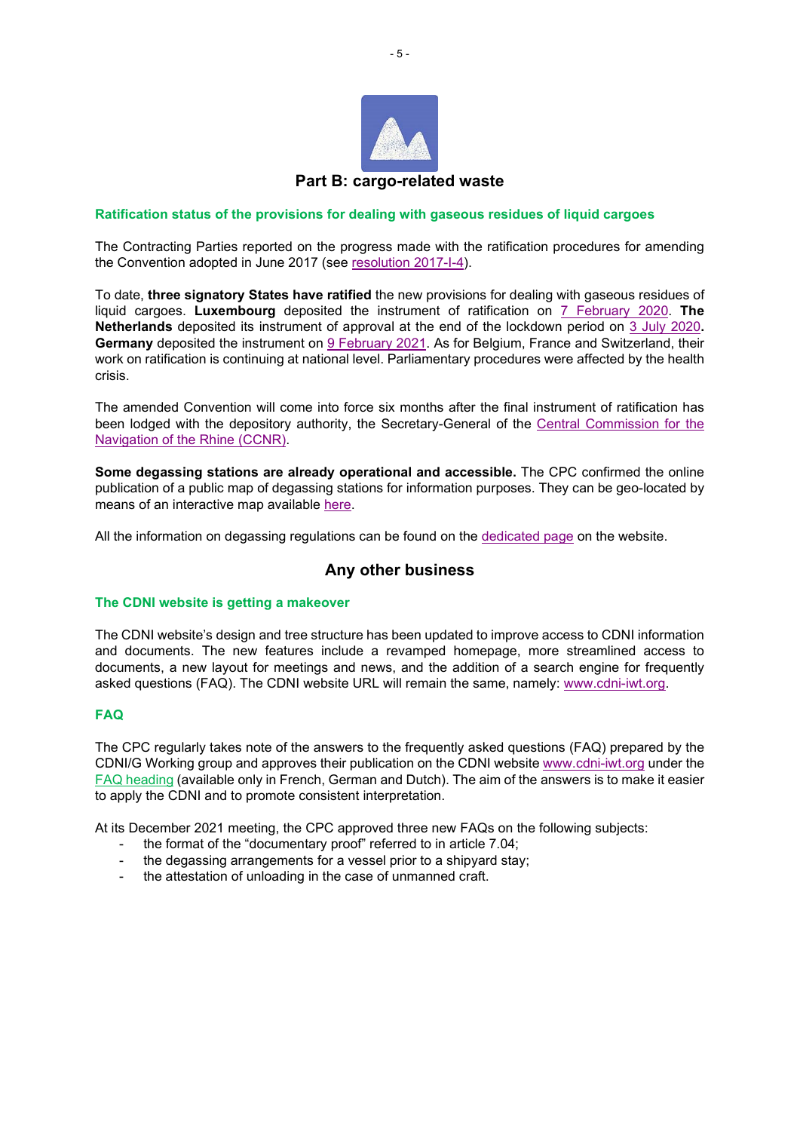

### **Ratification status of the provisions for dealing with gaseous residues of liquid cargoes**

The Contracting Parties reported on the progress made with the ratification procedures for amending the Convention adopted in June 2017 (see [resolution 2017-I-4\)](https://www.cdni-iwt.org/resolutions/?lang=en).

To date, **three signatory States have ratified** the new provisions for dealing with gaseous residues of liquid cargoes. **Luxembourg** deposited the instrument of ratification on [7 February 2020.](https://www.cdni-iwt.org/news/air-protection-and-regulation-of-the-degassing-of-vessels-deposition-of-the-first-instrument-ratifying-the-amendment-to-the-cdni/?lang=en) **The Netherlands** deposited its instrument of approval at the end of the lockdown period on [3 July 2020](https://www.cdni-iwt.org/news/air-protection-and-regulation-of-the-degassing-of-inland-navigation-vessels-the-kingdom-of-the-netherlands-deposits-the-instrument-ratifying-the-amendment-to-the-cdni/?lang=en)**. Germany** deposited the instrument on [9 February 2021.](https://www.cdni-iwt.org/news/a-step-towards-air-protection-germany-deposits-the-instrument-of-acceptance-of-the-amendment-to-the-cdni/?lang=en) As for Belgium, France and Switzerland, their work on ratification is continuing at national level. Parliamentary procedures were affected by the health crisis.

The amended Convention will come into force six months after the final instrument of ratification has been lodged with the depository authority, the Secretary-General of the [Central Commission for the](https://www.ccr-zkr.org/)  [Navigation of the Rhine \(CCNR\).](https://www.ccr-zkr.org/)

**Some degassing stations are already operational and accessible.** The CPC confirmed the online publication of a public map of degassing stations for information purposes. They can be geo-located by means of an interactive map available [here.](https://www.cdni-iwt.org/points-of-acceptance/?lang=en)

All the information on degassing regulations can be found on the [dedicated page](https://www.cdni-iwt.org/part-b-degassing/?lang=en) on the website.

# **Any other business**

### **The CDNI website is getting a makeover**

The CDNI website's design and tree structure has been updated to improve access to CDNI information and documents. The new features include a revamped homepage, more streamlined access to documents, a new layout for meetings and news, and the addition of a search engine for frequently asked questions (FAQ). The CDNI website URL will remain the same, namely: [www.cdni-iwt.org.](https://www.cdni-iwt.org/)

### **FAQ**

The CPC regularly takes note of the answers to the frequently asked questions (FAQ) prepared by the CDNI/G Working group and approves their publication on the CDNI website [www.cdni-iwt.org](https://www.cdni-iwt.org/) under the [FAQ heading](https://www.cdni-iwt.org/faq/?lang=en) (available only in French, German and Dutch). The aim of the answers is to make it easier to apply the CDNI and to promote consistent interpretation.

At its December 2021 meeting, the CPC approved three new FAQs on the following subjects:

- the format of the "documentary proof" referred to in article 7.04;
- the degassing arrangements for a vessel prior to a shipyard stay;
- the attestation of unloading in the case of unmanned craft.